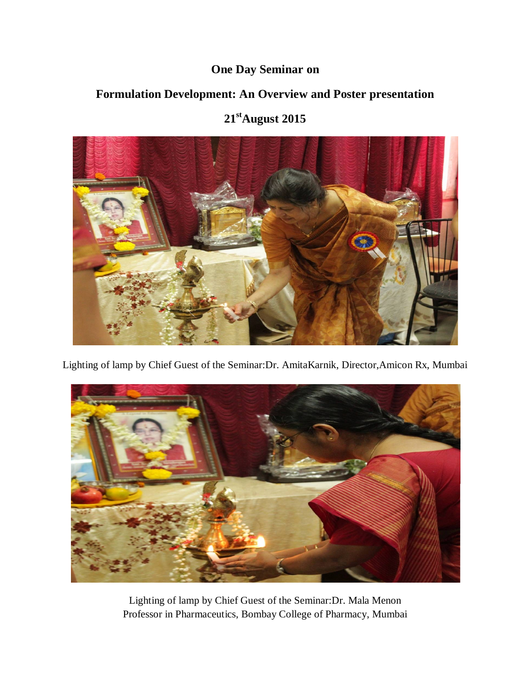## **One Day Seminar on**

## **Formulation Development: An Overview and Poster presentation**

## **21 stAugust 2015**



Lighting of lamp by Chief Guest of the Seminar:Dr. AmitaKarnik, Director,Amicon Rx, Mumbai



Lighting of lamp by Chief Guest of the Seminar:Dr. Mala Menon Professor in Pharmaceutics, Bombay College of Pharmacy, Mumbai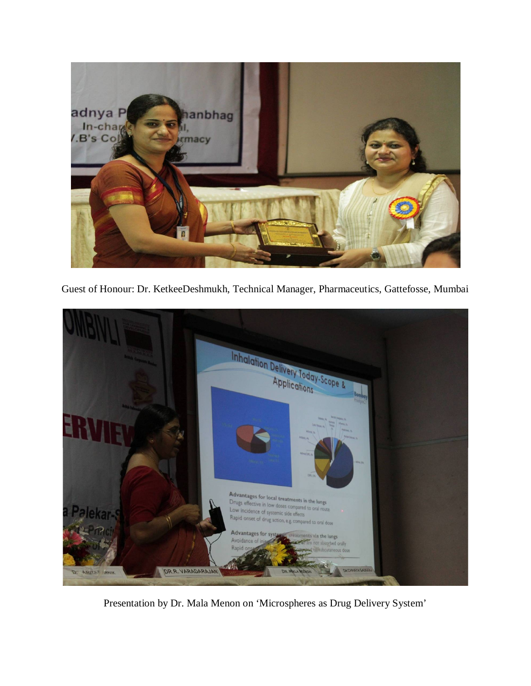

Guest of Honour: Dr. KetkeeDeshmukh, Technical Manager, Pharmaceutics, Gattefosse, Mumbai



Presentation by Dr. Mala Menon on 'Microspheres as Drug Delivery System'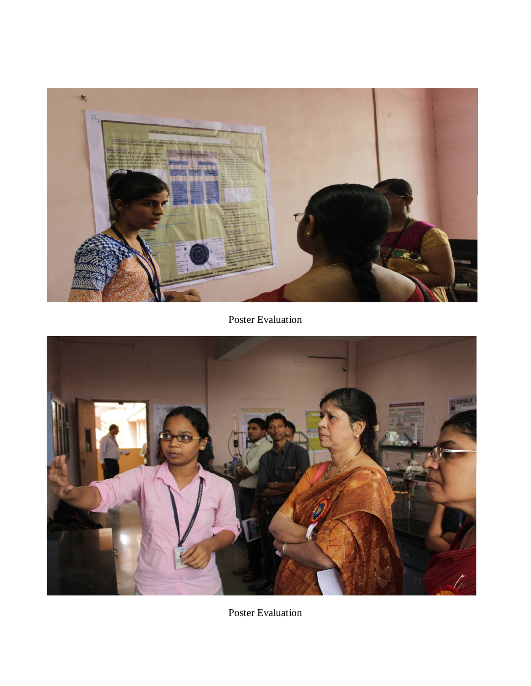

Poster Evaluation



Poster Evaluation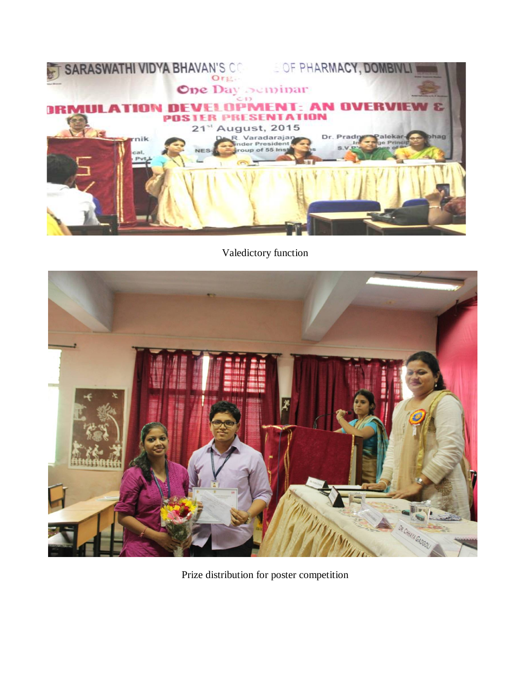

Valedictory function



Prize distribution for poster competition